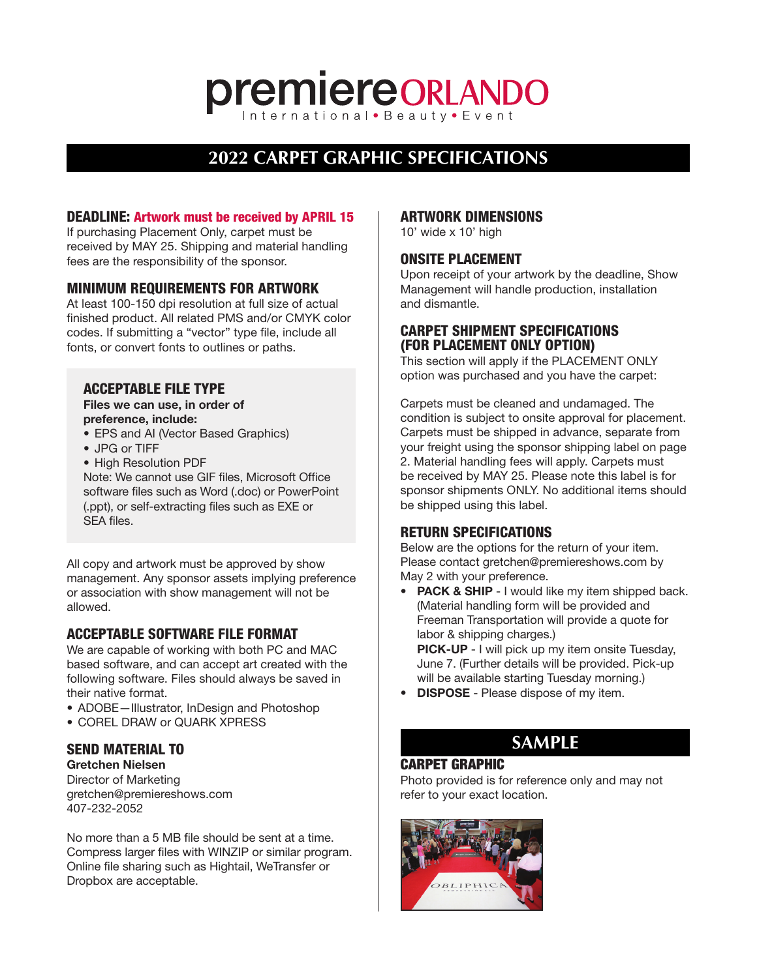# **premiereORLANDO**

# **2022 CARPET GRAPHIC SPECIFICATIONS**

# DEADLINE: Artwork must be received by APRIL 15

If purchasing Placement Only, carpet must be received by MAY 25. Shipping and material handling fees are the responsibility of the sponsor.

## MINIMUM REQUIREMENTS FOR ARTWORK

At least 100-150 dpi resolution at full size of actual finished product. All related PMS and/or CMYK color codes. If submitting a "vector" type file, include all fonts, or convert fonts to outlines or paths.

## ACCEPTABLE FILE TYPE

Files we can use, in order of preference, include:

- EPS and AI (Vector Based Graphics)
- JPG or TIFF
- High Resolution PDF

Note: We cannot use GIF files, Microsoft Office software files such as Word (.doc) or PowerPoint (.ppt), or self-extracting files such as EXE or SEA files.

All copy and artwork must be approved by show management. Any sponsor assets implying preference or association with show management will not be allowed.

# ACCEPTABLE SOFTWARE FILE FORMAT

We are capable of working with both PC and MAC based software, and can accept art created with the following software. Files should always be saved in their native format.

- ADOBE—Illustrator, InDesign and Photoshop
- COREL DRAW or QUARK XPRESS

# SEND MATERIAL TO

Gretchen Nielsen Director of Marketing gretchen@premiereshows.com 407-232-2052

No more than a 5 MB file should be sent at a time. Compress larger files with WINZIP or similar program. Online file sharing such as Hightail, WeTransfer or Dropbox are acceptable.

#### ARTWORK DIMENSIONS

10' wide x 10' high

# ONSITE PLACEMENT

Upon receipt of your artwork by the deadline, Show Management will handle production, installation and dismantle.

# CARPET SHIPMENT SPECIFICATIONS (FOR PLACEMENT ONLY OPTION)

This section will apply if the PLACEMENT ONLY option was purchased and you have the carpet:

Carpets must be cleaned and undamaged. The condition is subject to onsite approval for placement. Carpets must be shipped in advance, separate from your freight using the sponsor shipping label on page 2. Material handling fees will apply. Carpets must be received by MAY 25. Please note this label is for sponsor shipments ONLY. No additional items should be shipped using this label.

# RETURN SPECIFICATIONS

Below are the options for the return of your item. Please contact gretchen@premiereshows.com by May 2 with your preference.

- PACK & SHIP I would like my item shipped back. (Material handling form will be provided and Freeman Transportation will provide a quote for labor & shipping charges.) PICK-UP - I will pick up my item onsite Tuesday, June 7. (Further details will be provided. Pick-up will be available starting Tuesday morning.)
- DISPOSE Please dispose of my item.

# **SAMPLE**

# CARPET GRAPHIC

Photo provided is for reference only and may not refer to your exact location.